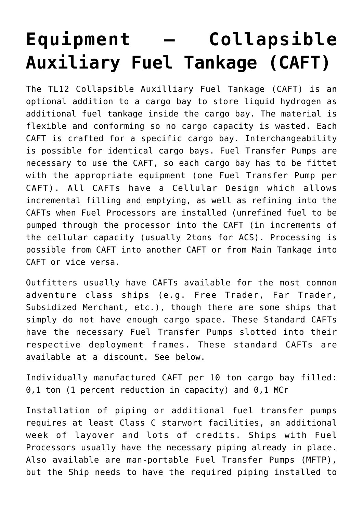## **[Equipment – Collapsible](https://traveller.chromeblack.com/equipment-starship-collapsible-auxiliary-tankage/) [Auxiliary Fuel Tankage \(CAFT\)](https://traveller.chromeblack.com/equipment-starship-collapsible-auxiliary-tankage/)**

The TL12 Collapsible Auxilliary Fuel Tankage (CAFT) is an optional addition to a cargo bay to store liquid hydrogen as additional fuel tankage inside the cargo bay. The material is flexible and conforming so no cargo capacity is wasted. Each CAFT is crafted for a specific cargo bay. Interchangeability is possible for identical cargo bays. Fuel Transfer Pumps are necessary to use the CAFT, so each cargo bay has to be fittet with the appropriate equipment (one Fuel Transfer Pump per CAFT). All CAFTs have a Cellular Design which allows incremental filling and emptying, as well as refining into the CAFTs when Fuel Processors are installed (unrefined fuel to be pumped through the processor into the CAFT (in increments of the cellular capacity (usually 2tons for ACS). Processing is possible from CAFT into another CAFT or from Main Tankage into CAFT or vice versa.

Outfitters usually have CAFTs available for the most common adventure class ships (e.g. Free Trader, Far Trader, Subsidized Merchant, etc.), though there are some ships that simply do not have enough cargo space. These Standard CAFTs have the necessary Fuel Transfer Pumps slotted into their respective deployment frames. These standard CAFTs are available at a discount. See below.

Individually manufactured CAFT per 10 ton cargo bay filled: 0,1 ton (1 percent reduction in capacity) and 0,1 MCr

Installation of piping or additional fuel transfer pumps requires at least Class C starwort facilities, an additional week of layover and lots of credits. Ships with Fuel Processors usually have the necessary piping already in place. Also available are man-portable Fuel Transfer Pumps (MFTP), but the Ship needs to have the required piping installed to